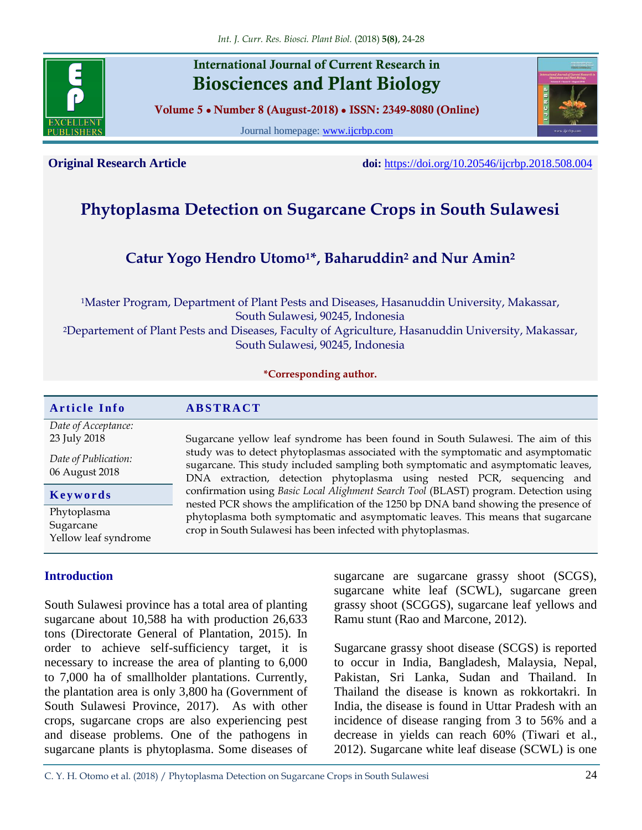

# **International Journal of Current Research in Biosciences and Plant Biology**

**Volume 5 ● Number 8 (August-2018) ● ISSN: 2349-8080 (Online)**

Journal homepage: [www.ijcrbp.com](http://www.ijcrbp.com/)



**Original Research Article doi:** <https://doi.org/10.20546/ijcrbp.2018.508.004>

# **Phytoplasma Detection on Sugarcane Crops in South Sulawesi**

# **Catur Yogo Hendro Utomo1\*, Baharuddin<sup>2</sup> and Nur Amin<sup>2</sup>**

<sup>1</sup>Master Program, Department of Plant Pests and Diseases, Hasanuddin University, Makassar, South Sulawesi, 90245, Indonesia <sup>2</sup>Departement of Plant Pests and Diseases, Faculty of Agriculture, Hasanuddin University, Makassar, South Sulawesi, 90245, Indonesia

#### **\*Corresponding author.**

#### $Article Info$  **ABSTRACT**

*Date of Acceptance:* 23 July 2018

*Date of Publication:* 06 August 2018

**K e y w o r d s**

Phytoplasma **Sugarcane** Yellow leaf syndrome

# **Introduction**

South Sulawesi province has a total area of planting sugarcane about 10,588 ha with production 26,633 tons (Directorate General of Plantation, 2015). In order to achieve self-sufficiency target, it is necessary to increase the area of planting to 6,000 to 7,000 ha of smallholder plantations. Currently, the plantation area is only 3,800 ha (Government of South Sulawesi Province, 2017). As with other crops, sugarcane crops are also experiencing pest and disease problems. One of the pathogens in sugarcane plants is phytoplasma. Some diseases of

study was to detect phytoplasmas associated with the symptomatic and asymptomatic sugarcane. This study included sampling both symptomatic and asymptomatic leaves, DNA extraction, detection phytoplasma using nested PCR, sequencing and confirmation using *Basic Local Alighment Search Tool* (BLAST) program. Detection using nested PCR shows the amplification of the 1250 bp DNA band showing the presence of phytoplasma both symptomatic and asymptomatic leaves. This means that sugarcane crop in South Sulawesi has been infected with phytoplasmas.

Sugarcane yellow leaf syndrome has been found in South Sulawesi. The aim of this

sugarcane are sugarcane grassy shoot (SCGS), sugarcane white leaf (SCWL), sugarcane green grassy shoot (SCGGS), sugarcane leaf yellows and Ramu stunt (Rao and Marcone, 2012).

Sugarcane grassy shoot disease (SCGS) is reported to occur in India, Bangladesh, Malaysia, Nepal, Pakistan, Sri Lanka, Sudan and Thailand. In Thailand the disease is known as rokkortakri. In India, the disease is found in Uttar Pradesh with an incidence of disease ranging from 3 to 56% and a decrease in yields can reach 60% (Tiwari et al., 2012). Sugarcane white leaf disease (SCWL) is one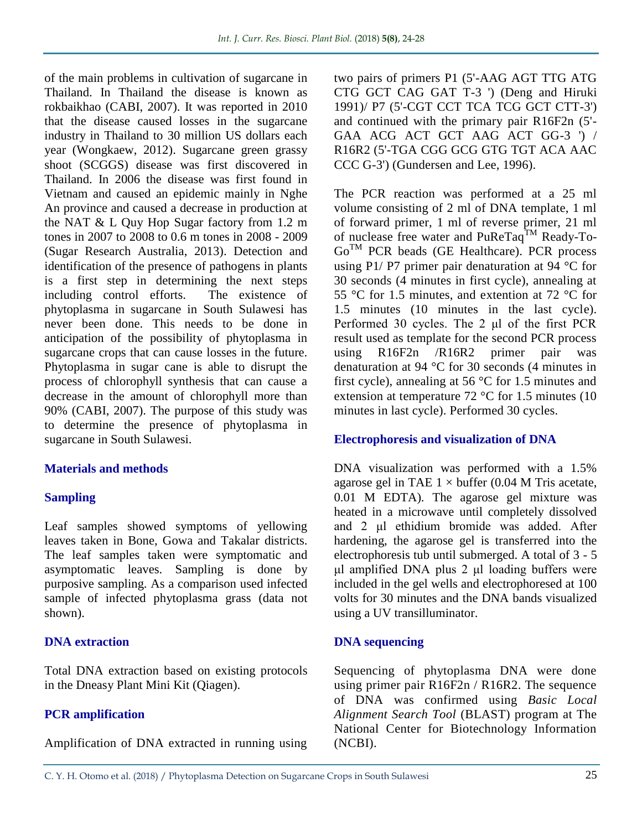of the main problems in cultivation of sugarcane in Thailand. In Thailand the disease is known as rokbaikhao (CABI, 2007). It was reported in 2010 that the disease caused losses in the sugarcane industry in Thailand to 30 million US dollars each year (Wongkaew, 2012). Sugarcane green grassy shoot (SCGGS) disease was first discovered in Thailand. In 2006 the disease was first found in Vietnam and caused an epidemic mainly in Nghe An province and caused a decrease in production at the NAT & L Quy Hop Sugar factory from 1.2 m tones in 2007 to 2008 to 0.6 m tones in 2008 - 2009 (Sugar Research Australia, 2013). Detection and identification of the presence of pathogens in plants is a first step in determining the next steps including control efforts. The existence of phytoplasma in sugarcane in South Sulawesi has never been done. This needs to be done in anticipation of the possibility of phytoplasma in sugarcane crops that can cause losses in the future. Phytoplasma in sugar cane is able to disrupt the process of chlorophyll synthesis that can cause a decrease in the amount of chlorophyll more than 90% (CABI, 2007). The purpose of this study was to determine the presence of phytoplasma in sugarcane in South Sulawesi.

# **Materials and methods**

# **Sampling**

Leaf samples showed symptoms of yellowing leaves taken in Bone, Gowa and Takalar districts. The leaf samples taken were symptomatic and asymptomatic leaves. Sampling is done by purposive sampling. As a comparison used infected sample of infected phytoplasma grass (data not shown).

# **DNA extraction**

Total DNA extraction based on existing protocols in the Dneasy Plant Mini Kit (Qiagen).

# **PCR amplification**

Amplification of DNA extracted in running using

two pairs of primers P1 (5'-AAG AGT TTG ATG CTG GCT CAG GAT T-3 ') (Deng and Hiruki 1991)/ P7 (5'-CGT CCT TCA TCG GCT CTT-3') and continued with the primary pair R16F2n (5'- GAA ACG ACT GCT AAG ACT GG-3 ') / R16R2 (5'-TGA CGG GCG GTG TGT ACA AAC CCC G-3') (Gundersen and Lee, 1996).

The PCR reaction was performed at a 25 ml volume consisting of 2 ml of DNA template, 1 ml of forward primer, 1 ml of reverse primer, 21 ml of nuclease free water and PuReTaq<sup>TM</sup> Ready-To-GoTM PCR beads (GE Healthcare). PCR process using P1/ P7 primer pair denaturation at  $94^{\circ}$ C for 30 seconds (4 minutes in first cycle), annealing at 55 °C for 1.5 minutes, and extention at 72 °C for 1.5 minutes (10 minutes in the last cycle). Performed 30 cycles. The 2 μl of the first PCR result used as template for the second PCR process using R16F2n /R16R2 primer pair was denaturation at 94 °C for 30 seconds (4 minutes in first cycle), annealing at 56 °C for 1.5 minutes and extension at temperature 72 °C for 1.5 minutes (10 minutes in last cycle). Performed 30 cycles.

# **Electrophoresis and visualization of DNA**

DNA visualization was performed with a 1.5% agarose gel in TAE  $1 \times$  buffer (0.04 M Tris acetate, 0.01 M EDTA). The agarose gel mixture was heated in a microwave until completely dissolved and 2 μl ethidium bromide was added. After hardening, the agarose gel is transferred into the electrophoresis tub until submerged. A total of 3 - 5 μl amplified DNA plus 2 μl loading buffers were included in the gel wells and electrophoresed at 100 volts for 30 minutes and the DNA bands visualized using a UV transilluminator.

# **DNA sequencing**

Sequencing of phytoplasma DNA were done using primer pair R16F2n / R16R2. The sequence of DNA was confirmed using *Basic Local Alignment Search Tool* (BLAST) program at The National Center for Biotechnology Information (NCBI).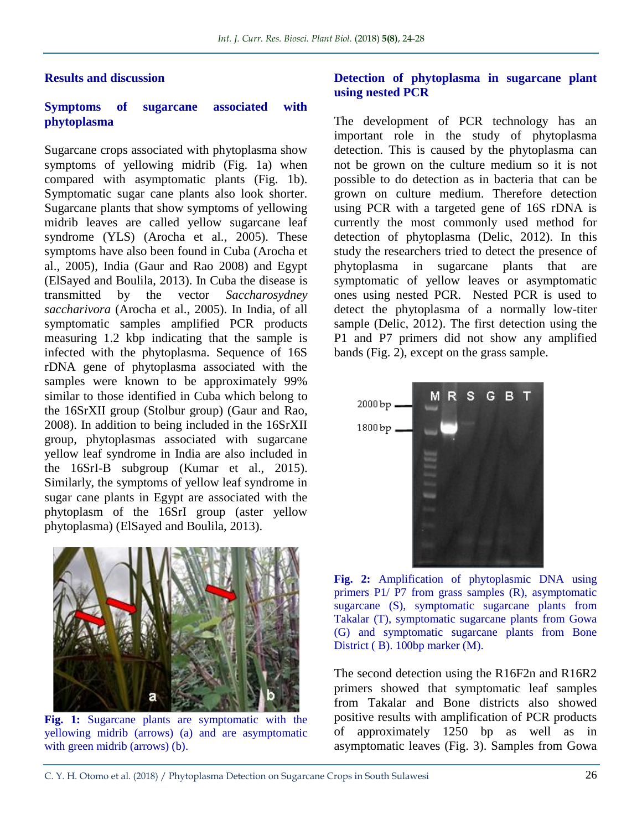#### **Results and discussion**

#### **Symptoms of sugarcane associated with phytoplasma**

Sugarcane crops associated with phytoplasma show symptoms of yellowing midrib (Fig. 1a) when compared with asymptomatic plants (Fig. 1b). Symptomatic sugar cane plants also look shorter. Sugarcane plants that show symptoms of yellowing midrib leaves are called yellow sugarcane leaf syndrome (YLS) (Arocha et al., 2005). These symptoms have also been found in Cuba (Arocha et al., 2005), India (Gaur and Rao 2008) and Egypt (ElSayed and Boulila, 2013). In Cuba the disease is transmitted by the vector *Saccharosydney saccharivora* (Arocha et al., 2005). In India, of all symptomatic samples amplified PCR products measuring 1.2 kbp indicating that the sample is infected with the phytoplasma. Sequence of 16S rDNA gene of phytoplasma associated with the samples were known to be approximately 99% similar to those identified in Cuba which belong to the 16SrXII group (Stolbur group) (Gaur and Rao, 2008). In addition to being included in the 16SrXII group, phytoplasmas associated with sugarcane yellow leaf syndrome in India are also included in the 16SrI-B subgroup (Kumar et al., 2015). Similarly, the symptoms of yellow leaf syndrome in sugar cane plants in Egypt are associated with the phytoplasm of the 16SrI group (aster yellow phytoplasma) (ElSayed and Boulila, 2013).



**Fig. 1:** Sugarcane plants are symptomatic with the yellowing midrib (arrows) (a) and are asymptomatic with green midrib (arrows) (b).

#### **Detection of phytoplasma in sugarcane plant using nested PCR**

The development of PCR technology has an important role in the study of phytoplasma detection. This is caused by the phytoplasma can not be grown on the culture medium so it is not possible to do detection as in bacteria that can be grown on culture medium. Therefore detection using PCR with a targeted gene of 16S rDNA is currently the most commonly used method for detection of phytoplasma (Delic, 2012). In this study the researchers tried to detect the presence of phytoplasma in sugarcane plants that are symptomatic of yellow leaves or asymptomatic ones using nested PCR. Nested PCR is used to detect the phytoplasma of a normally low-titer sample (Delic, 2012). The first detection using the P1 and P7 primers did not show any amplified bands (Fig. 2), except on the grass sample.



**Fig. 2:** Amplification of phytoplasmic DNA using primers P1/ P7 from grass samples (R), asymptomatic sugarcane (S), symptomatic sugarcane plants from Takalar (T), symptomatic sugarcane plants from Gowa (G) and symptomatic sugarcane plants from Bone District ( B). 100bp marker (M).

The second detection using the R16F2n and R16R2 primers showed that symptomatic leaf samples from Takalar and Bone districts also showed positive results with amplification of PCR products of approximately 1250 bp as well as in asymptomatic leaves (Fig. 3). Samples from Gowa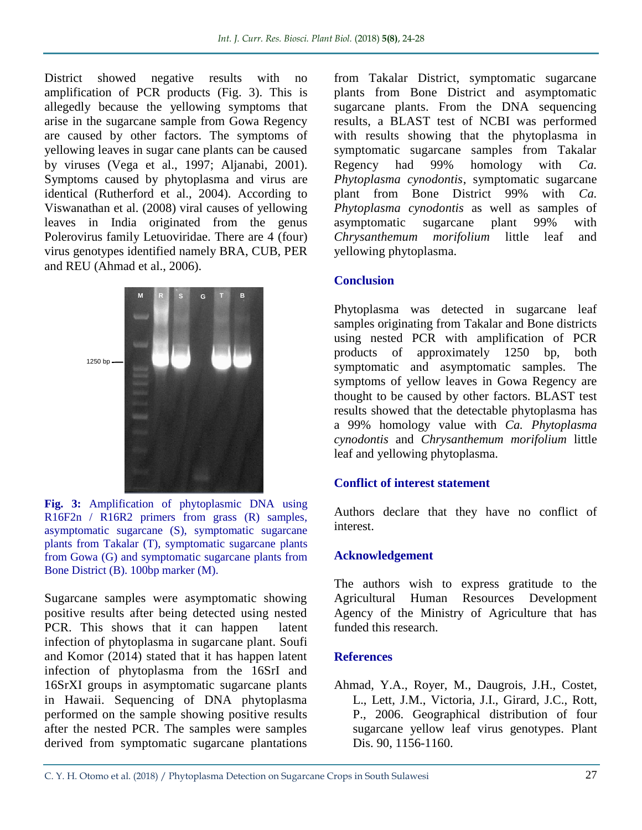District showed negative results with no amplification of PCR products (Fig. 3). This is allegedly because the yellowing symptoms that arise in the sugarcane sample from Gowa Regency are caused by other factors. The symptoms of yellowing leaves in sugar cane plants can be caused by viruses (Vega et al., 1997; Aljanabi, 2001). Symptoms caused by phytoplasma and virus are identical (Rutherford et al., 2004). According to Viswanathan et al. (2008) viral causes of yellowing leaves in India originated from the genus Polerovirus family Letuoviridae. There are 4 (four) virus genotypes identified namely BRA, CUB, PER and REU (Ahmad et al., 2006).



**Fig. 3:** Amplification of phytoplasmic DNA using R16F2n / R16R2 primers from grass (R) samples, asymptomatic sugarcane (S), symptomatic sugarcane plants from Takalar (T), symptomatic sugarcane plants from Gowa (G) and symptomatic sugarcane plants from Bone District (B). 100bp marker (M).

Sugarcane samples were asymptomatic showing positive results after being detected using nested PCR. This shows that it can happen latent infection of phytoplasma in sugarcane plant. Soufi and Komor (2014) stated that it has happen latent infection of phytoplasma from the 16SrI and 16SrXI groups in asymptomatic sugarcane plants in Hawaii. Sequencing of DNA phytoplasma performed on the sample showing positive results after the nested PCR. The samples were samples derived from symptomatic sugarcane plantations

from Takalar District, symptomatic sugarcane plants from Bone District and asymptomatic sugarcane plants. From the DNA sequencing results, a BLAST test of NCBI was performed with results showing that the phytoplasma in symptomatic sugarcane samples from Takalar Regency had 99% homology with *Ca. Phytoplasma cynodontis*, symptomatic sugarcane plant from Bone District 99% with *Ca. Phytoplasma cynodontis* as well as samples of asymptomatic sugarcane plant 99% with *Chrysanthemum morifolium* little leaf and yellowing phytoplasma.

### **Conclusion**

Phytoplasma was detected in sugarcane leaf samples originating from Takalar and Bone districts using nested PCR with amplification of PCR products of approximately 1250 bp, both symptomatic and asymptomatic samples. The symptoms of yellow leaves in Gowa Regency are thought to be caused by other factors. BLAST test results showed that the detectable phytoplasma has a 99% homology value with *Ca. Phytoplasma cynodontis* and *Chrysanthemum morifolium* little leaf and yellowing phytoplasma.

# **Conflict of interest statement**

Authors declare that they have no conflict of interest.

#### **Acknowledgement**

The authors wish to express gratitude to the Agricultural Human Resources Development Agency of the Ministry of Agriculture that has funded this research.

#### **References**

Ahmad, Y.A., Royer, M., Daugrois, J.H., Costet, L., Lett, J.M., Victoria, J.I., Girard, J.C., Rott, P., 2006. Geographical distribution of four sugarcane yellow leaf virus genotypes. Plant Dis. 90, 1156-1160.